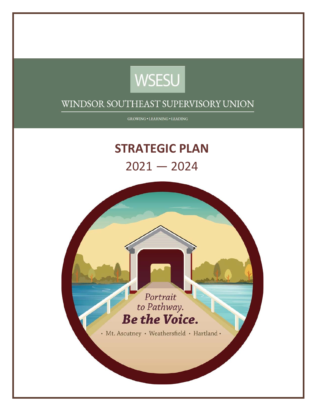

GROWING . LEARNING . LEADING

# **STRATEGIC PLAN**  $2021 - 2024$

Portrait to Pathway. **Be the Voice.** 

· Mt. Ascutney · Weathersfield · Hartland ·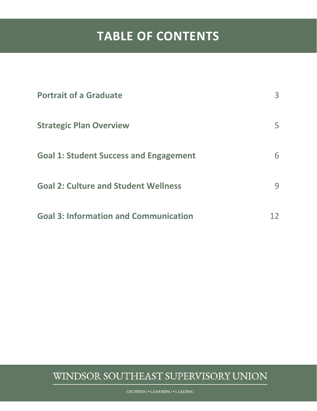## **TABLE OF CONTENTS**

| <b>Portrait of a Graduate</b>                 | $\mathsf{R}$ |
|-----------------------------------------------|--------------|
| <b>Strategic Plan Overview</b>                | 5            |
| <b>Goal 1: Student Success and Engagement</b> | 6            |
| <b>Goal 2: Culture and Student Wellness</b>   |              |
| <b>Goal 3: Information and Communication</b>  |              |

#### WINDSOR SOUTHEAST SUPERVISORY UNION

**GROWING . LEARNING . LEADING**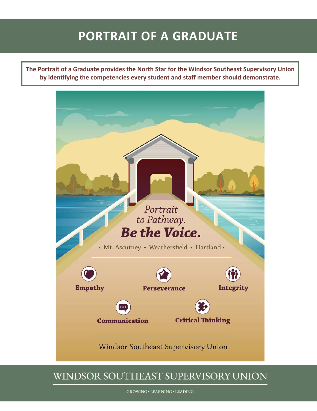## **PORTRAIT OF A GRADUATE**

**The Portrait of a Graduate provides the North Star for the Windsor Southeast Supervisory Union by identifying the competencies every student and staff member should demonstrate.**

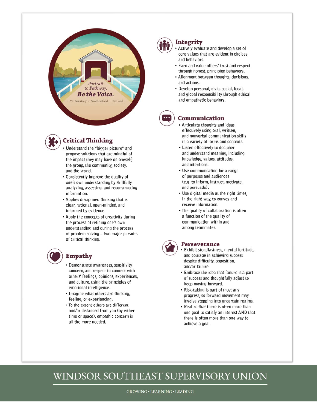



#### **Critical Thinking**

- Understand the "bigger picture" and propose solutions that are mindful of the impact they may have on oneself, the group, the community, society, and the world.
- Consistently improve the quality of one's own understanding by skillfully analyzing, assessing, and reconstructing information.
- Applies disciplined thinking that is clear, rational, open-minded, and informed by evidence.
- Apply the concepts of creativity during the process of refining one's own understanding and during the process of problem solving - two major pursuits of critical thinking.



#### **Empathy**

- Demonstrate awareness, sensitivity, concern, and respect to connect with others' feelings, opinions, experiences, and culture, using the principles of emotional intelligence.
- Imagine what others are thinking, feeling, or experiencing.
- To the extent others are different and/or distanced from you (by either time or space), empathic concern is all the more needed.



#### Integrity

- Actively evaluate and develop a set of core values that are evident in choices and hehaviors
- Earn and value others' trust and respect through honest, principled behaviors.
- Alignment between thoughts, decisions, and actions.
- · Develop personal, civic, social, local, and global responsibility through ethical and empathetic behaviors.



#### Communication

- Articulate thoughts and ideas effectively using oral, written, and nonverbal communication skills in a variety of forms and contexts.
- Listen effectively to decipher and understand meaning, including knowledge, values, attitudes, and intentions.
- Use communication for a range of purposes and audiences (e.g. to inform, instruct, motivate, and persuade).
- Use digital media at the right times, in the right way, to convey and receive information.
- The quality of collaboration is often a function of the quality of communication within and among teammates.



#### **Perseverance**

- **Exhibit steadfastness, mental fortitude,** and courage in achieving success despite difficulty, opposition, and/or failure.
- Embrace the idea that failure is a part of success and thoughtfully adjust to keep moving forward.
- Risk-taking is part of most any progress, so forward movement may involve stepping into uncertain realms.
- Realize that there is often more than one goal to satisfy an interest AND that there is often more than one way to achieve a goal.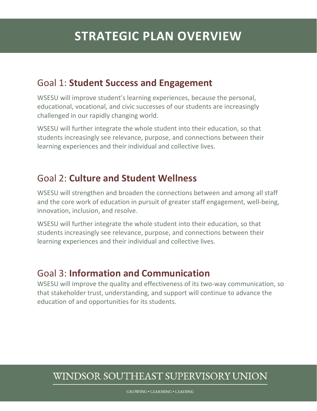#### Goal 1: **Student Success and Engagement**

WSESU will improve student's learning experiences, because the personal, educational, vocational, and civic successes of our students are increasingly challenged in our rapidly changing world.

WSESU will further integrate the whole student into their education, so that students increasingly see relevance, purpose, and connections between their learning experiences and their individual and collective lives.

#### Goal 2: **Culture and Student Wellness**

WSESU will strengthen and broaden the connections between and among all staff and the core work of education in pursuit of greater staff engagement, well-being, innovation, inclusion, and resolve.

WSESU will further integrate the whole student into their education, so that students increasingly see relevance, purpose, and connections between their learning experiences and their individual and collective lives.

#### Goal 3: **Information and Communication**

WSESU will improve the quality and effectiveness of its two-way communication, so that stakeholder trust, understanding, and support will continue to advance the education of and opportunities for its students.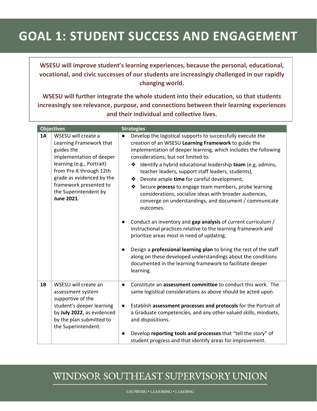# **GOAL 1: STUDENT SUCCESS AND ENGAGEMENT**

**WSESU will improve student's learning experiences, because the personal, educational, vocational, and civic successes of our students are increasingly challenged in our rapidly changing world.** 

**WSESU will further integrate the whole student into their education, so that students increasingly see relevance, purpose, and connections between their learning experiences and their individual and collective lives.** 

|    | <b>Objectives</b>                                                                                                                                                                                                                                     | <b>Strategies</b>                                                                                                                                                                                                                                                                                                                                                                                                                                                                                                                                                                                                                                                                                                                                                                                                                                                                                                                                                                                                           |
|----|-------------------------------------------------------------------------------------------------------------------------------------------------------------------------------------------------------------------------------------------------------|-----------------------------------------------------------------------------------------------------------------------------------------------------------------------------------------------------------------------------------------------------------------------------------------------------------------------------------------------------------------------------------------------------------------------------------------------------------------------------------------------------------------------------------------------------------------------------------------------------------------------------------------------------------------------------------------------------------------------------------------------------------------------------------------------------------------------------------------------------------------------------------------------------------------------------------------------------------------------------------------------------------------------------|
| 1A | WSESU will create a<br>Learning Framework that<br>guides the<br>implementation of deeper<br>learning (e.g., Portrait)<br>from Pre-K through 12th<br>grade as evidenced by the<br>framework presented to<br>the Superintendent by<br><b>June 2021.</b> | Develop the logistical supports to successfully execute the<br>$\bullet$<br>creation of an WSESU Learning Framework to guide the<br>implementation of deeper learning, which includes the following<br>considerations, but not limited to:<br>Identify a hybrid educational leadership team (e.g, admins,<br>❖<br>teacher leaders, support staff leaders, students),<br>Devote ample time for careful development,<br>Secure process to engage team members, probe learning<br>considerations, socialize ideas with broader audiences,<br>converge on understandings, and document / communicate<br>outcomes.<br>Conduct an inventory and gap analysis of current curriculum /<br>instructional practices relative to the learning framework and<br>prioritize areas most in need of updating.<br>Design a professional learning plan to bring the rest of the staff<br>$\bullet$<br>along on these developed understandings about the conditions<br>documented in the learning framework to facilitate deeper<br>learning. |
| 1B | WSESU will create an<br>assessment system<br>supportive of the<br>student's deeper learning<br>by July 2022, as evidenced<br>by the plan submitted to<br>the Superintendent.                                                                          | Constitute an assessment committee to conduct this work. The<br>$\bullet$<br>same logistical considerations as above should be acted upon.<br>Establish assessment processes and protocols for the Portrait of<br>$\bullet$<br>a Graduate competencies, and any other valued skills, mindsets,<br>and dispositions.<br>Develop reporting tools and processes that "tell the story" of<br>$\bullet$<br>student progress and that identify areas for improvement.                                                                                                                                                                                                                                                                                                                                                                                                                                                                                                                                                             |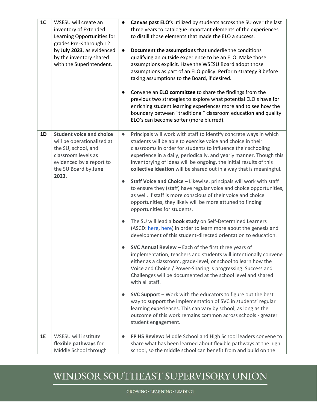| 1 <sub>C</sub> | WSESU will create an<br>inventory of Extended<br>Learning Opportunities for<br>grades Pre-K through 12<br>by July 2023, as evidenced<br>by the inventory shared<br>with the Superintendent. | Canvas past ELO's utilized by students across the SU over the last<br>three years to catalogue important elements of the experiences<br>to distill those elements that made the ELO a success.<br>Document the assumptions that underlie the conditions<br>$\bullet$<br>qualifying an outside experience to be an ELO. Make those<br>assumptions explicit. Have the WSESU Board adopt those<br>assumptions as part of an ELO policy. Perform strategy 3 before<br>taking assumptions to the Board, if desired.<br>Convene an ELO committee to share the findings from the<br>$\bullet$<br>previous two strategies to explore what potential ELO's have for<br>enriching student learning experiences more and to see how the<br>boundary between "traditional" classroom education and quality<br>ELO's can become softer (more blurred).                                                                |
|----------------|---------------------------------------------------------------------------------------------------------------------------------------------------------------------------------------------|----------------------------------------------------------------------------------------------------------------------------------------------------------------------------------------------------------------------------------------------------------------------------------------------------------------------------------------------------------------------------------------------------------------------------------------------------------------------------------------------------------------------------------------------------------------------------------------------------------------------------------------------------------------------------------------------------------------------------------------------------------------------------------------------------------------------------------------------------------------------------------------------------------|
| 1D             | <b>Student voice and choice</b><br>will be operationalized at<br>the SU, school, and<br>classroom levels as<br>evidenced by a report to<br>the SU Board by June<br>2023.                    | Principals will work with staff to identify concrete ways in which<br>$\bullet$<br>students will be able to exercise voice and choice in their<br>classrooms in order for students to influence their schooling<br>experience in a daily, periodically, and yearly manner. Though this<br>inventorying of ideas will be ongoing, the initial results of this<br>collective ideation will be shared out in a way that is meaningful.<br>Staff Voice and Choice - Likewise, principals will work with staff<br>$\bullet$<br>to ensure they (staff) have regular voice and choice opportunities,<br>as well. If staff is more conscious of their voice and choice<br>opportunities, they likely will be more attuned to finding<br>opportunities for students.<br>The SU will lead a book study on Self-Determined Learners<br>$\bullet$<br>(ASCD: here, here) in order to learn more about the genesis and |
|                |                                                                                                                                                                                             | development of this student-directed orientation to education.<br>SVC Annual Review - Each of the first three years of<br>implementation, teachers and students will intentionally convene<br>either as a classroom, grade-level, or school to learn how the<br>Voice and Choice / Power-Sharing is progressing. Success and<br>Challenges will be documented at the school level and shared<br>with all staff.<br><b>SVC Support</b> - Work with the educators to figure out the best<br>$\bullet$<br>way to support the implementation of SVC in students' regular<br>learning experiences. This can vary by school, as long as the<br>outcome of this work remains common across schools - greater<br>student engagement.                                                                                                                                                                             |
| 1E             | WSESU will institute<br>flexible pathways for<br>Middle School through                                                                                                                      | FP HS Review: Middle School and High School leaders convene to<br>$\bullet$<br>share what has been learned about flexible pathways at the high<br>school, so the middle school can benefit from and build on the                                                                                                                                                                                                                                                                                                                                                                                                                                                                                                                                                                                                                                                                                         |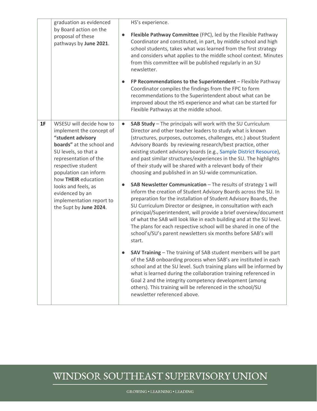|    | graduation as evidenced<br>by Board action on the<br>proposal of these<br>pathways by June 2021.                                                                                                                                                                                                                              | HS's experience.<br>Flexible Pathway Committee (FPC), led by the Flexible Pathway<br>$\bullet$<br>Coordinator and constituted, in part, by middle school and high<br>school students, takes what was learned from the first strategy<br>and considers what applies to the middle school context. Minutes<br>from this committee will be published regularly in an SU<br>newsletter.<br>FP Recommendations to the Superintendent - Flexible Pathway<br>$\bullet$<br>Coordinator compiles the findings from the FPC to form<br>recommendations to the Superintendent about what can be<br>improved about the HS experience and what can be started for<br>Flexible Pathways at the middle school.                                                                                                                                                                                                                                                                                                                                                                                                                                                                                                                                                                                                                                                                                                                                                                                                                                                        |
|----|-------------------------------------------------------------------------------------------------------------------------------------------------------------------------------------------------------------------------------------------------------------------------------------------------------------------------------|--------------------------------------------------------------------------------------------------------------------------------------------------------------------------------------------------------------------------------------------------------------------------------------------------------------------------------------------------------------------------------------------------------------------------------------------------------------------------------------------------------------------------------------------------------------------------------------------------------------------------------------------------------------------------------------------------------------------------------------------------------------------------------------------------------------------------------------------------------------------------------------------------------------------------------------------------------------------------------------------------------------------------------------------------------------------------------------------------------------------------------------------------------------------------------------------------------------------------------------------------------------------------------------------------------------------------------------------------------------------------------------------------------------------------------------------------------------------------------------------------------------------------------------------------------|
| 1F | WSESU will decide how to<br>implement the concept of<br>"student advisory<br>boards" at the school and<br>SU levels, so that a<br>representation of the<br>respective student<br>population can inform<br>how THEIR education<br>looks and feels, as<br>evidenced by an<br>implementation report to<br>the Supt by June 2024. | SAB Study - The principals will work with the SU Curriculum<br>$\bullet$<br>Director and other teacher leaders to study what is known<br>(structures, purposes, outcomes, challenges, etc.) about Student<br>Advisory Boards by reviewing research/best practice, other<br>existing student advisory boards (e.g., Sample District Resource),<br>and past similar structures/experiences in the SU. The highlights<br>of their study will be shared with a relevant body of their<br>choosing and published in an SU-wide communication.<br>SAB Newsletter Communication - The results of strategy 1 will<br>inform the creation of Student Advisory Boards across the SU. In<br>preparation for the installation of Student Advisory Boards, the<br>SU Curriculum Director or designee, in consultation with each<br>principal/Superintendent, will provide a brief overview/document<br>of what the SAB will look like in each building and at the SU level.<br>The plans for each respective school will be shared in one of the<br>school's/SU's parent newsletters six months before SAB's will<br>start.<br>SAV Training - The training of SAB student members will be part<br>of the SAB onboarding process when SAB's are instituted in each<br>school and at the SU level. Such training plans will be informed by<br>what is learned during the collaboration training referenced in<br>Goal 2 and the integrity competency development (among<br>others). This training will be referenced in the school/SU<br>newsletter referenced above. |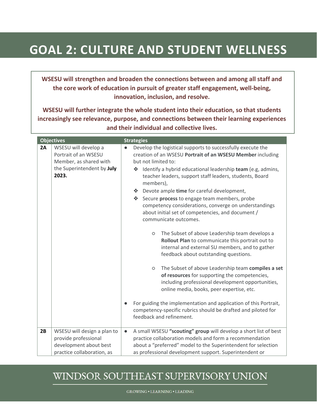## **GOAL 2: CULTURE AND STUDENT WELLNESS**

**WSESU will strengthen and broaden the connections between and among all staff and the core work of education in pursuit of greater staff engagement, well‐being, innovation, inclusion, and resolve.** 

**WSESU will further integrate the whole student into their education, so that students increasingly see relevance, purpose, and connections between their learning experiences and their individual and collective lives.** 

|    | <b>Objectives</b>                                                                                             | <b>Strategies</b>                                                                                                                                                                                                                                                                                                                                                                                                                                                                                                                                                                                                                                                                                                                                                                                                                                                                                                                                                                                                                                                                                                          |
|----|---------------------------------------------------------------------------------------------------------------|----------------------------------------------------------------------------------------------------------------------------------------------------------------------------------------------------------------------------------------------------------------------------------------------------------------------------------------------------------------------------------------------------------------------------------------------------------------------------------------------------------------------------------------------------------------------------------------------------------------------------------------------------------------------------------------------------------------------------------------------------------------------------------------------------------------------------------------------------------------------------------------------------------------------------------------------------------------------------------------------------------------------------------------------------------------------------------------------------------------------------|
| 2A | WSESU will develop a<br>Portrait of an WSESU<br>Member, as shared with<br>the Superintendent by July<br>2023. | Develop the logistical supports to successfully execute the<br>$\bullet$<br>creation of an WSESU Portrait of an WSESU Member including<br>but not limited to:<br>Identify a hybrid educational leadership team (e.g, admins,<br>❖<br>teacher leaders, support staff leaders, students, Board<br>members),<br>Devote ample time for careful development,<br>Secure process to engage team members, probe<br>豪。<br>competency considerations, converge on understandings<br>about initial set of competencies, and document /<br>communicate outcomes.<br>The Subset of above Leadership team develops a<br>$\circ$<br>Rollout Plan to communicate this portrait out to<br>internal and external SU members, and to gather<br>feedback about outstanding questions.<br>The Subset of above Leadership team compiles a set<br>$\circ$<br>of resources for supporting the competencies,<br>including professional development opportunities,<br>online media, books, peer expertise, etc.<br>For guiding the implementation and application of this Portrait,<br>competency-specific rubrics should be drafted and piloted for |
|    |                                                                                                               | feedback and refinement.                                                                                                                                                                                                                                                                                                                                                                                                                                                                                                                                                                                                                                                                                                                                                                                                                                                                                                                                                                                                                                                                                                   |
| 2B | WSESU will design a plan to<br>provide professional<br>development about best<br>practice collaboration, as   | A small WSESU "scouting" group will develop a short list of best<br>$\bullet$<br>practice collaboration models and form a recommendation<br>about a "preferred" model to the Superintendent for selection<br>as professional development support. Superintendent or                                                                                                                                                                                                                                                                                                                                                                                                                                                                                                                                                                                                                                                                                                                                                                                                                                                        |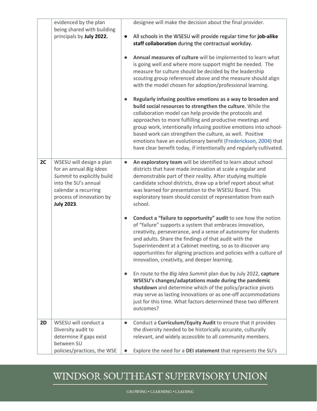|    | evidenced by the plan<br>being shared with building                                                                                                                                | designee will make the decision about the final provider.                                                                                                                                                                                                                                                                                                                                                                                                                                                                      |
|----|------------------------------------------------------------------------------------------------------------------------------------------------------------------------------------|--------------------------------------------------------------------------------------------------------------------------------------------------------------------------------------------------------------------------------------------------------------------------------------------------------------------------------------------------------------------------------------------------------------------------------------------------------------------------------------------------------------------------------|
|    | principals by July 2022.                                                                                                                                                           | All schools in the WSESU will provide regular time for job-alike<br>$\bullet$<br>staff collaboration during the contractual workday.                                                                                                                                                                                                                                                                                                                                                                                           |
|    |                                                                                                                                                                                    | Annual measures of culture will be implemented to learn what<br>$\bullet$<br>is going well and where more support might be needed. The<br>measure for culture should be decided by the leadership<br>scouting group referenced above and the measure should align<br>with the model chosen for adoption/professional learning.                                                                                                                                                                                                 |
|    |                                                                                                                                                                                    | Regularly infusing positive emotions as a way to broaden and<br>build social resources to strengthen the culture. While the<br>collaboration model can help provide the protocols and<br>approaches to more fulfilling and productive meetings and<br>group work, intentionally infusing positive emotions into school-<br>based work can strengthen the culture, as well. Positive<br>emotions have an evolutionary benefit (Frederickson, 2004) that<br>have clear benefit today, if intentionally and regularly cultivated. |
| 2C | WSESU will design a plan<br>for an annual Big Ideas<br>Summit to explicitly build<br>into the SU's annual<br>calendar a recurring<br>process of innovation by<br><b>July 2023.</b> | An exploratory team will be identified to learn about school<br>$\bullet$<br>districts that have made innovation at scale a regular and<br>demonstrable part of their reality. After studying multiple<br>candidate school districts, draw up a brief report about what<br>was learned for presentation to the WSESU Board. This<br>exploratory team should consist of representation from each<br>school.                                                                                                                     |
|    |                                                                                                                                                                                    | Conduct a "failure to opportunity" audit to see how the notion<br>$\bullet$<br>of "failure" supports a system that embraces innovation,<br>creativity, perseverance, and a sense of autonomy for students<br>and adults. Share the findings of that audit with the<br>Superintendent at a Cabinet meeting, so as to discover any<br>opportunities for aligning practices and policies with a culture of<br>innovation, creativity, and deeper learning.                                                                        |
|    |                                                                                                                                                                                    | En route to the Big Idea Summit plan due by July 2022, capture<br>$\bullet$<br>WSESU's changes/adaptations made during the pandemic<br>shutdown and determine which of the policy/practice pivots<br>may serve as lasting innovations or as one-off accommodations<br>just for this time. What factors determined these two different<br>outcomes?                                                                                                                                                                             |
| 2D | WSESU will conduct a<br>Diversity audit to<br>determine if gaps exist<br>between SU                                                                                                | Conduct a Curriculum/Equity Audit to ensure that it provides<br>$\bullet$<br>the diversity needed to be historically accurate, culturally<br>relevant, and widely accessible to all community members.                                                                                                                                                                                                                                                                                                                         |
|    | policies/practices, the WSE                                                                                                                                                        | Explore the need for a DEI statement that represents the SU's                                                                                                                                                                                                                                                                                                                                                                                                                                                                  |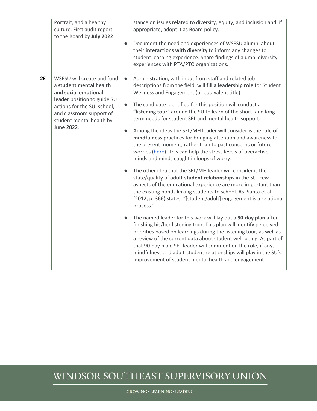|    | Portrait, and a healthy<br>culture. First audit report<br>to the Board by July 2022.                                                                                                                                     | stance on issues related to diversity, equity, and inclusion and, if<br>appropriate, adopt it as Board policy.<br>Document the need and experiences of WSESU alumni about<br>$\bullet$<br>their interactions with diversity to inform any changes to<br>student learning experience. Share findings of alumni diversity<br>experiences with PTA/PTO organizations.                                                                                                                                                                                                                                                                                                                                                                                                                                                                                                                                                                                                                                                                                                                                                                                                                                                                                                                                                                                                                                                                                                                                                                                                                   |
|----|--------------------------------------------------------------------------------------------------------------------------------------------------------------------------------------------------------------------------|--------------------------------------------------------------------------------------------------------------------------------------------------------------------------------------------------------------------------------------------------------------------------------------------------------------------------------------------------------------------------------------------------------------------------------------------------------------------------------------------------------------------------------------------------------------------------------------------------------------------------------------------------------------------------------------------------------------------------------------------------------------------------------------------------------------------------------------------------------------------------------------------------------------------------------------------------------------------------------------------------------------------------------------------------------------------------------------------------------------------------------------------------------------------------------------------------------------------------------------------------------------------------------------------------------------------------------------------------------------------------------------------------------------------------------------------------------------------------------------------------------------------------------------------------------------------------------------|
| 2E | WSESU will create and fund<br>a student mental health<br>and social emotional<br>leader position to guide SU<br>actions for the SU, school,<br>and classroom support of<br>student mental health by<br><b>June 2022.</b> | Administration, with input from staff and related job<br>$\bullet$<br>descriptions from the field, will fill a leadership role for Student<br>Wellness and Engagement (or equivalent title).<br>The candidate identified for this position will conduct a<br>$\bullet$<br>"listening tour" around the SU to learn of the short- and long-<br>term needs for student SEL and mental health support.<br>Among the ideas the SEL/MH leader will consider is the role of<br>$\bullet$<br>mindfulness practices for bringing attention and awareness to<br>the present moment, rather than to past concerns or future<br>worries (here). This can help the stress levels of overactive<br>minds and minds caught in loops of worry.<br>The other idea that the SEL/MH leader will consider is the<br>state/quality of adult-student relationships in the SU. Few<br>aspects of the educational experience are more important than<br>the existing bonds linking students to school. As Pianta et al.<br>(2012, p. 366) states, "[student/adult] engagement is a relational<br>process."<br>The named leader for this work will lay out a 90-day plan after<br>$\bullet$<br>finishing his/her listening tour. This plan will identify perceived<br>priorities based on learnings during the listening tour, as well as<br>a review of the current data about student well-being. As part of<br>that 90-day plan, SEL leader will comment on the role, if any,<br>mindfulness and adult-student relationships will play in the SU's<br>improvement of student mental health and engagement. |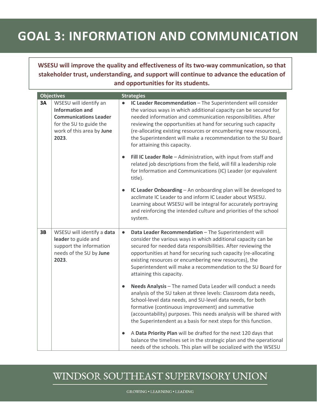# **GOAL 3: INFORMATION AND COMMUNICATION**

**WSESU will improve the quality and effectiveness of its two‐way communication, so that stakeholder trust, understanding, and support will continue to advance the education of and opportunities for its students.** 

|    | <b>Objectives</b>                                                                                                                                 | <b>Strategies</b>                                                                                                                                                                                                                                                                                                                                                                                                                                   |
|----|---------------------------------------------------------------------------------------------------------------------------------------------------|-----------------------------------------------------------------------------------------------------------------------------------------------------------------------------------------------------------------------------------------------------------------------------------------------------------------------------------------------------------------------------------------------------------------------------------------------------|
| 3A | WSESU will identify an<br><b>Information and</b><br><b>Communications Leader</b><br>for the SU to guide the<br>work of this area by June<br>2023. | IC Leader Recommendation - The Superintendent will consider<br>$\bullet$<br>the various ways in which additional capacity can be secured for<br>needed information and communication responsibilities. After<br>reviewing the opportunities at hand for securing such capacity<br>(re-allocating existing resources or encumbering new resources),<br>the Superintendent will make a recommendation to the SU Board<br>for attaining this capacity. |
|    |                                                                                                                                                   | Fill IC Leader Role - Administration, with input from staff and<br>$\bullet$<br>related job descriptions from the field, will fill a leadership role<br>for Information and Communications (IC) Leader (or equivalent<br>title).                                                                                                                                                                                                                    |
|    |                                                                                                                                                   | IC Leader Onboarding - An onboarding plan will be developed to<br>$\bullet$<br>acclimate IC Leader to and inform IC Leader about WSESU.<br>Learning about WSESU will be integral for accurately portraying<br>and reinforcing the intended culture and priorities of the school<br>system.                                                                                                                                                          |
| 3B | WSESU will identify a data<br>leader to guide and<br>support the information<br>needs of the SU by June<br>2023.                                  | Data Leader Recommendation - The Superintendent will<br>$\bullet$<br>consider the various ways in which additional capacity can be<br>secured for needed data responsibilities. After reviewing the<br>opportunities at hand for securing such capacity (re-allocating<br>existing resources or encumbering new resources), the<br>Superintendent will make a recommendation to the SU Board for<br>attaining this capacity.                        |
|    |                                                                                                                                                   | Needs Analysis - The named Data Leader will conduct a needs<br>$\bullet$<br>analysis of the SU taken at three levels: Classroom data needs,<br>School-level data needs, and SU-level data needs, for both<br>formative (continuous improvement) and summative<br>(accountability) purposes. This needs analysis will be shared with<br>the Superintendent as a basis for next steps for this function.                                              |
|    |                                                                                                                                                   | A Data Priority Plan will be drafted for the next 120 days that<br>$\bullet$<br>balance the timelines set in the strategic plan and the operational<br>needs of the schools. This plan will be socialized with the WSESU                                                                                                                                                                                                                            |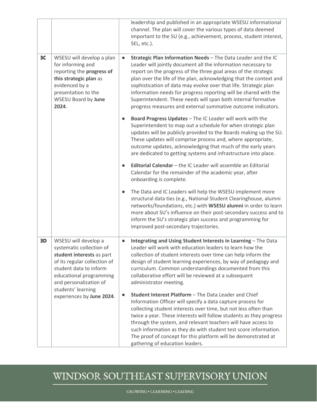|    |                                                                                                                                                                                                                    | leadership and published in an appropriate WSESU informational<br>channel. The plan will cover the various types of data deemed<br>important to the SU (e.g., achievement, process, student interest,<br>SEL, etc.).                                                                                                                                                                                                                                                                                                                                          |
|----|--------------------------------------------------------------------------------------------------------------------------------------------------------------------------------------------------------------------|---------------------------------------------------------------------------------------------------------------------------------------------------------------------------------------------------------------------------------------------------------------------------------------------------------------------------------------------------------------------------------------------------------------------------------------------------------------------------------------------------------------------------------------------------------------|
| 3C | WSESU will develop a plan<br>for informing and<br>reporting the progress of<br>this strategic plan as<br>evidenced by a<br>presentation to the<br>WSESU Board by June<br>2024.                                     | Strategic Plan Information Needs - The Data Leader and the IC<br>$\bullet$<br>Leader will jointly document all the information necessary to<br>report on the progress of the three goal areas of the strategic<br>plan over the life of the plan, acknowledging that the context and<br>sophistication of data may evolve over that life. Strategic plan<br>information needs for progress reporting will be shared with the<br>Superintendent. These needs will span both internal formative<br>progress measures and external summative outcome indicators. |
|    |                                                                                                                                                                                                                    | Board Progress Updates - The IC Leader will work with the<br>$\bullet$<br>Superintendent to map out a schedule for when strategic plan<br>updates will be publicly provided to the Boards making up the SU.<br>These updates will comprise process and, where appropriate,<br>outcome updates, acknowledging that much of the early years<br>are dedicated to getting systems and infrastructure into place.                                                                                                                                                  |
|    |                                                                                                                                                                                                                    | Editorial Calendar - the IC Leader will assemble an Editorial<br>$\bullet$<br>Calendar for the remainder of the academic year, after<br>onboarding is complete.                                                                                                                                                                                                                                                                                                                                                                                               |
|    |                                                                                                                                                                                                                    | The Data and IC Leaders will help the WSESU implement more<br>$\bullet$<br>structural data ties (e.g., National Student Clearinghouse, alumni<br>networks/foundations, etc.) with WSESU alumni in order to learn<br>more about SU's influence on their post-secondary success and to<br>inform the SU's strategic plan success and programming for<br>improved post-secondary trajectories.                                                                                                                                                                   |
| 3D | WSESU will develop a<br>systematic collection of<br>student interests as part<br>of its regular collection of<br>student data to inform<br>educational programming<br>and personalization of<br>students' learning | Integrating and Using Student Interests in Learning - The Data<br>$\bullet$<br>Leader will work with education leaders to learn how the<br>collection of student interests over time can help inform the<br>design of student learning experiences, by way of pedagogy and<br>curriculum. Common understandings documented from this<br>collaborative effort will be reviewed at a subsequent<br>administrator meeting.                                                                                                                                       |
|    | experiences by June 2024.                                                                                                                                                                                          | Student Interest Platform - The Data Leader and Chief<br>$\bullet$<br>Information Officer will specify a data capture process for<br>collecting student interests over time, but not less often than<br>twice a year. These interests will follow students as they progress<br>through the system, and relevant teachers will have access to<br>such information as they do with student test score information.<br>The proof of concept for this platform will be demonstrated at<br>gathering of education leaders.                                         |